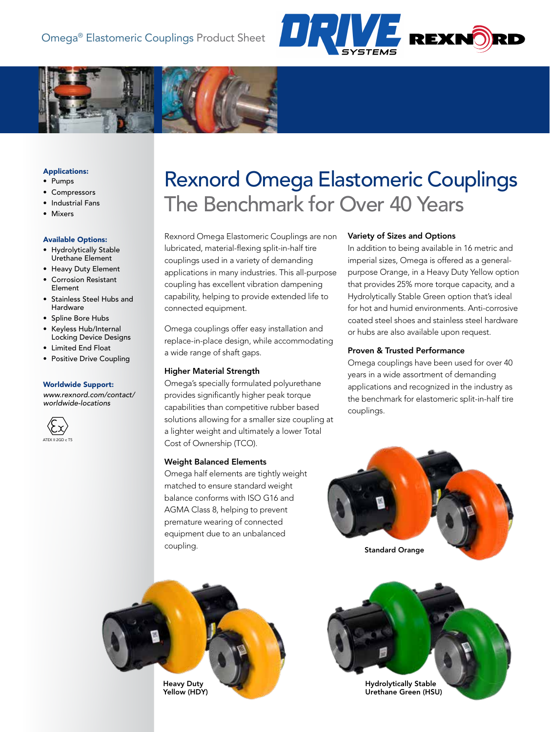



## Applications:

- Pumps
- Compressors
- Industrial Fans
- Mixers

## Available Options:

- Hydrolytically Stable Urethane Element
- Heavy Duty Element • Corrosion Resistant
- Element • Stainless Steel Hubs and
- Hardware
- Spline Bore Hubs
- Keyless Hub/Internal Locking Device Designs
- Limited End Float
- Positive Drive Coupling

#### Worldwide Support:

*[www.rexnord.com/contact/](http://www.rexnord.com/contact/worldwide-locations) [worldwide-locations](http://www.rexnord.com/contact/worldwide-locations)*



# Rexnord Omega Elastomeric Couplings The Benchmark for Over 40 Years

Rexnord Omega Elastomeric Couplings are non lubricated, material-flexing split-in-half tire couplings used in a variety of demanding applications in many industries. This all-purpose coupling has excellent vibration dampening capability, helping to provide extended life to connected equipment.

Omega couplings offer easy installation and replace-in-place design, while accommodating a wide range of shaft gaps.

## Higher Material Strength

Omega's specially formulated polyurethane provides significantly higher peak torque capabilities than competitive rubber based solutions allowing for a smaller size coupling at a lighter weight and ultimately a lower Total Cost of Ownership (TCO).

## Weight Balanced Elements

Omega half elements are tightly weight matched to ensure standard weight balance conforms with ISO G16 and AGMA Class 8, helping to prevent premature wearing of connected equipment due to an unbalanced coupling.

## Variety of Sizes and Options

In addition to being available in 16 metric and imperial sizes, Omega is offered as a generalpurpose Orange, in a Heavy Duty Yellow option that provides 25% more torque capacity, and a Hydrolytically Stable Green option that's ideal for hot and humid environments. Anti-corrosive coated steel shoes and stainless steel hardware or hubs are also available upon request.

## Proven & Trusted Performance

Omega couplings have been used for over 40 years in a wide assortment of demanding applications and recognized in the industry as the benchmark for elastomeric split-in-half tire couplings.